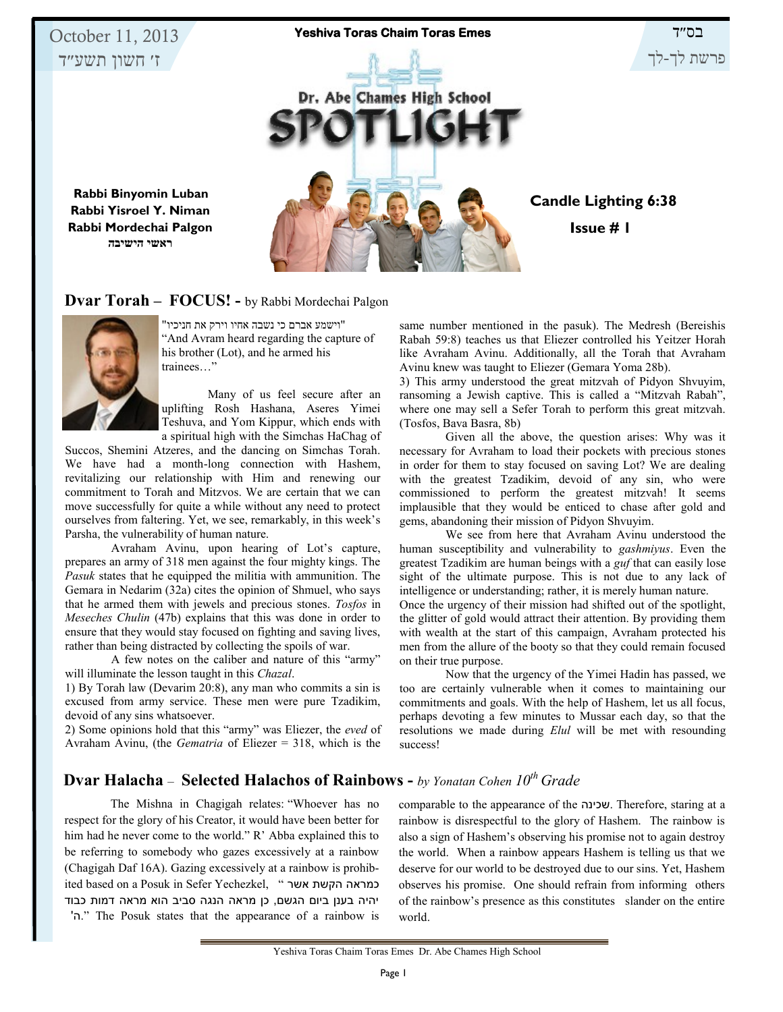

#### **Dvar Torah – FOCUS! -** by Rabbi Mordechai Palgon



"וישמע אברם כי נשבה אחיו וירק את חניכיו" "And Avram heard regarding the capture of his brother (Lot), and he armed his trainees…"

Many of us feel secure after an uplifting Rosh Hashana, Aseres Yimei Teshuva, and Yom Kippur, which ends with a spiritual high with the Simchas HaChag of

Succos, Shemini Atzeres, and the dancing on Simchas Torah. We have had a month-long connection with Hashem, revitalizing our relationship with Him and renewing our commitment to Torah and Mitzvos. We are certain that we can move successfully for quite a while without any need to protect ourselves from faltering. Yet, we see, remarkably, in this week's Parsha, the vulnerability of human nature.

Avraham Avinu, upon hearing of Lot's capture, prepares an army of 318 men against the four mighty kings. The *Pasuk* states that he equipped the militia with ammunition. The Gemara in Nedarim (32a) cites the opinion of Shmuel, who says that he armed them with jewels and precious stones. *Tosfos* in *Meseches Chulin* (47b) explains that this was done in order to ensure that they would stay focused on fighting and saving lives, rather than being distracted by collecting the spoils of war.

A few notes on the caliber and nature of this "army" will illuminate the lesson taught in this *Chazal*.

1) By Torah law (Devarim 20:8), any man who commits a sin is excused from army service. These men were pure Tzadikim, devoid of any sins whatsoever.

2) Some opinions hold that this "army" was Eliezer, the *eved* of Avraham Avinu, (the *Gematria* of Eliezer = 318, which is the

same number mentioned in the pasuk). The Medresh (Bereishis Rabah 59:8) teaches us that Eliezer controlled his Yeitzer Horah like Avraham Avinu. Additionally, all the Torah that Avraham Avinu knew was taught to Eliezer (Gemara Yoma 28b).

3) This army understood the great mitzvah of Pidyon Shvuyim, ransoming a Jewish captive. This is called a "Mitzvah Rabah", where one may sell a Sefer Torah to perform this great mitzvah. (Tosfos, Bava Basra, 8b)

Given all the above, the question arises: Why was it necessary for Avraham to load their pockets with precious stones in order for them to stay focused on saving Lot? We are dealing with the greatest Tzadikim, devoid of any sin, who were commissioned to perform the greatest mitzvah! It seems implausible that they would be enticed to chase after gold and gems, abandoning their mission of Pidyon Shvuyim.

We see from here that Avraham Avinu understood the human susceptibility and vulnerability to *gashmiyus*. Even the greatest Tzadikim are human beings with a *guf* that can easily lose sight of the ultimate purpose. This is not due to any lack of intelligence or understanding; rather, it is merely human nature. Once the urgency of their mission had shifted out of the spotlight, the glitter of gold would attract their attention. By providing them with wealth at the start of this campaign, Avraham protected his men from the allure of the booty so that they could remain focused on their true purpose.

Now that the urgency of the Yimei Hadin has passed, we too are certainly vulnerable when it comes to maintaining our commitments and goals. With the help of Hashem, let us all focus, perhaps devoting a few minutes to Mussar each day, so that the resolutions we made during *Elul* will be met with resounding success!

## **Dvar Halacha** – **Selected Halachos of Rainbows -** *by Yonatan Cohen 10th Grade*

The Mishna in Chagigah relates: "Whoever has no respect for the glory of his Creator, it would have been better for him had he never come to the world." R' Abba explained this to be referring to somebody who gazes excessively at a rainbow (Chagigah Daf 16A). Gazing excessively at a rainbow is prohibited based on a Posuk in Sefer Yechezkel, " אשר הקשת כמראה יהיה בענן ביום הגשם, כן מראה הנגה סביב הוא מראה דמות כבוד 'ה. "The Posuk states that the appearance of a rainbow is

comparable to the appearance of the שכינה. Therefore, staring at a rainbow is disrespectful to the glory of Hashem. The rainbow is also a sign of Hashem's observing his promise not to again destroy the world. When a rainbow appears Hashem is telling us that we deserve for our world to be destroyed due to our sins. Yet, Hashem observes his promise. One should refrain from informing others of the rainbow's presence as this constitutes slander on the entire world.